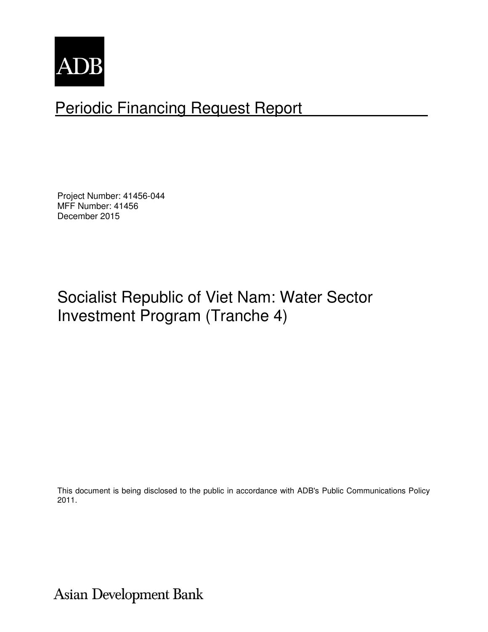

# Periodic Financing Request Report

Project Number: 41456-044 MFF Number: 41456 December 2015

# Socialist Republic of Viet Nam: Water Sector Investment Program (Tranche 4)

This document is being disclosed to the public in accordance with ADB's Public Communications Policy 2011.

Asian Development Bank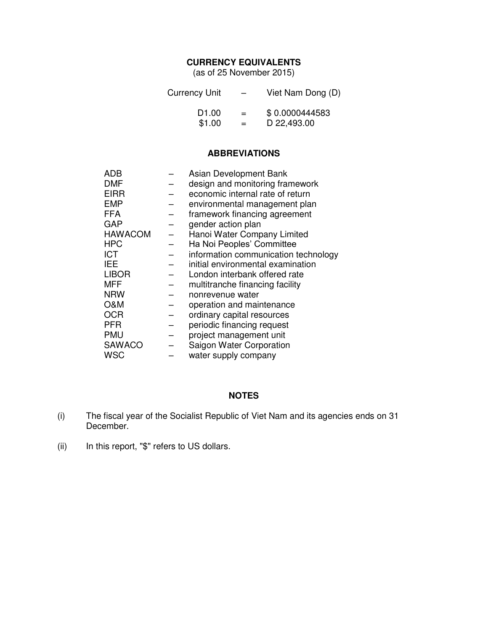#### **CURRENCY EQUIVALENTS**

(as of 25 November 2015)

| <b>Currency Unit</b> | $\overline{\phantom{0}}$ | Viet Nam Dong (D) |
|----------------------|--------------------------|-------------------|
| D <sub>1.00</sub>    | $=$                      | \$0.0000444583    |
| \$1.00               | $=$                      | D 22,493.00       |

#### **ABBREVIATIONS**

| ADB            | Asian Development Bank               |
|----------------|--------------------------------------|
| <b>DMF</b>     | design and monitoring framework      |
| <b>EIRR</b>    | economic internal rate of return     |
| <b>EMP</b>     | environmental management plan        |
| <b>FFA</b>     | framework financing agreement        |
| GAP            | gender action plan                   |
| <b>HAWACOM</b> | Hanoi Water Company Limited          |
| <b>HPC</b>     | Ha Noi Peoples' Committee            |
| <b>ICT</b>     | information communication technology |
| IEE            | initial environmental examination    |
| <b>LIBOR</b>   | London interbank offered rate        |
| MFF            | multitranche financing facility      |
| <b>NRW</b>     | nonrevenue water                     |
| O&M            | operation and maintenance            |
| <b>OCR</b>     | ordinary capital resources           |
| <b>PFR</b>     | periodic financing request           |
| <b>PMU</b>     | project management unit              |
| <b>SAWACO</b>  | Saigon Water Corporation             |
| WSC            | water supply company                 |

### **NOTES**

- (i) The fiscal year of the Socialist Republic of Viet Nam and its agencies ends on 31 December.
- (ii) In this report, "\$" refers to US dollars.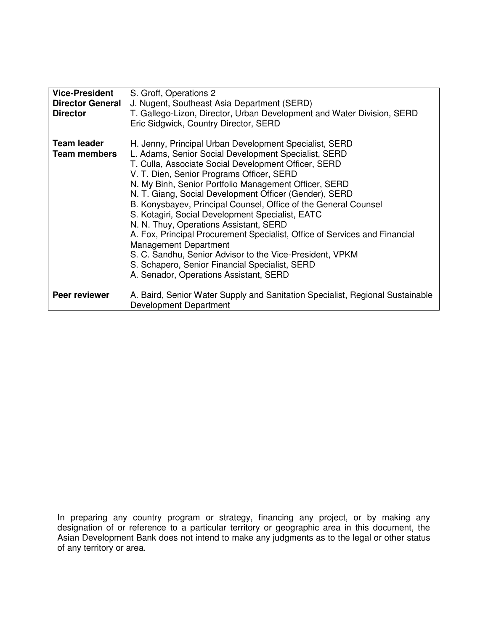| <b>Vice-President</b>   | S. Groff, Operations 2                                                                                  |
|-------------------------|---------------------------------------------------------------------------------------------------------|
| <b>Director General</b> | J. Nugent, Southeast Asia Department (SERD)                                                             |
| <b>Director</b>         | T. Gallego-Lizon, Director, Urban Development and Water Division, SERD                                  |
|                         | Eric Sidgwick, Country Director, SERD                                                                   |
| <b>Team leader</b>      | H. Jenny, Principal Urban Development Specialist, SERD                                                  |
| <b>Team members</b>     | L. Adams, Senior Social Development Specialist, SERD                                                    |
|                         | T. Culla, Associate Social Development Officer, SERD                                                    |
|                         | V. T. Dien, Senior Programs Officer, SERD                                                               |
|                         | N. My Binh, Senior Portfolio Management Officer, SERD                                                   |
|                         | N. T. Giang, Social Development Officer (Gender), SERD                                                  |
|                         | B. Konysbayev, Principal Counsel, Office of the General Counsel                                         |
|                         | S. Kotagiri, Social Development Specialist, EATC                                                        |
|                         | N. N. Thuy, Operations Assistant, SERD                                                                  |
|                         | A. Fox, Principal Procurement Specialist, Office of Services and Financial                              |
|                         | <b>Management Department</b>                                                                            |
|                         | S. C. Sandhu, Senior Advisor to the Vice-President, VPKM                                                |
|                         | S. Schapero, Senior Financial Specialist, SERD                                                          |
|                         | A. Senador, Operations Assistant, SERD                                                                  |
| Peer reviewer           | A. Baird, Senior Water Supply and Sanitation Specialist, Regional Sustainable<br>Development Department |

In preparing any country program or strategy, financing any project, or by making any designation of or reference to a particular territory or geographic area in this document, the Asian Development Bank does not intend to make any judgments as to the legal or other status of any territory or area.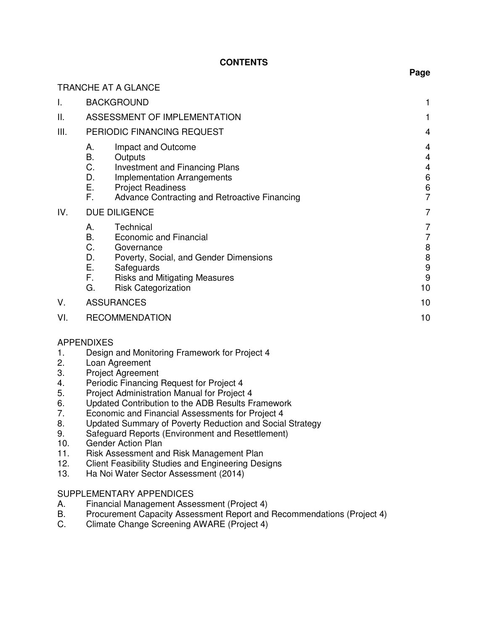### **CONTENTS**

|      |                                                                                                                                                                                                                               | -9-                              |
|------|-------------------------------------------------------------------------------------------------------------------------------------------------------------------------------------------------------------------------------|----------------------------------|
|      | <b>TRANCHE AT A GLANCE</b>                                                                                                                                                                                                    |                                  |
| I.   | <b>BACKGROUND</b>                                                                                                                                                                                                             | 1                                |
| ΙΙ.  | ASSESSMENT OF IMPLEMENTATION                                                                                                                                                                                                  |                                  |
| III. | PERIODIC FINANCING REQUEST                                                                                                                                                                                                    | 4                                |
|      | Impact and Outcome<br>А.<br>B.<br>Outputs<br>C.<br><b>Investment and Financing Plans</b><br>D.<br><b>Implementation Arrangements</b><br>Ε.<br><b>Project Readiness</b><br>F.<br>Advance Contracting and Retroactive Financing | 4<br>4<br>4<br>6<br>6<br>7       |
| IV.  | <b>DUE DILIGENCE</b>                                                                                                                                                                                                          | 7                                |
|      | Technical<br>А.<br>В.<br>Economic and Financial<br>C.<br>Governance<br>D.<br>Poverty, Social, and Gender Dimensions<br>Ε.<br>Safeguards<br>F.<br><b>Risks and Mitigating Measures</b><br>G.<br><b>Risk Categorization</b>     | 7<br>7<br>8<br>8<br>9<br>9<br>10 |
| V.   | <b>ASSURANCES</b>                                                                                                                                                                                                             | 10                               |
| VI.  | <b>RECOMMENDATION</b>                                                                                                                                                                                                         | 10                               |
|      |                                                                                                                                                                                                                               |                                  |

#### APPENDIXES

- 1. Design and Monitoring Framework for Project 4
- 2. Loan Agreement
- 3. Project Agreement<br>4. Periodic Financing
- 4. Periodic Financing Request for Project 4
- 5. Project Administration Manual for Project 4
- 6. Updated Contribution to the ADB Results Framework
- 7. Economic and Financial Assessments for Project 4
- 8. Updated Summary of Poverty Reduction and Social Strategy
- 9. Safeguard Reports (Environment and Resettlement)
- 10. Gender Action Plan
- 11. Risk Assessment and Risk Management Plan
- 12. Client Feasibility Studies and Engineering Designs<br>13. Ha Noi Water Sector Assessment (2014)
- Ha Noi Water Sector Assessment (2014)

#### SUPPLEMENTARY APPENDICES

- A. Financial Management Assessment (Project 4)
- B. Procurement Capacity Assessment Report and Recommendations (Project 4)<br>C. Climate Change Screening AWARE (Project 4)
- Climate Change Screening AWARE (Project 4)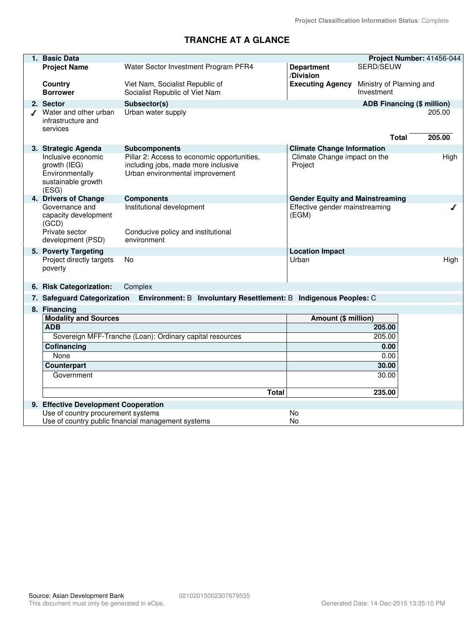# **TRANCHE AT A GLANCE**

| 1. Basic Data                                            |                                                                        |                                        |                                   | Project Number: 41456-044 |
|----------------------------------------------------------|------------------------------------------------------------------------|----------------------------------------|-----------------------------------|---------------------------|
| <b>Project Name</b>                                      | Water Sector Investment Program PFR4                                   | <b>Department</b>                      | SERD/SEUW                         |                           |
|                                                          |                                                                        | /Division                              |                                   |                           |
| Country                                                  | Viet Nam, Socialist Republic of                                        | <b>Executing Agency</b>                | Ministry of Planning and          |                           |
| <b>Borrower</b>                                          | Socialist Republic of Viet Nam                                         |                                        | Investment                        |                           |
| 2. Sector                                                | Subsector(s)                                                           |                                        | <b>ADB Financing (\$ million)</b> |                           |
| Water and other urban                                    | Urban water supply                                                     |                                        |                                   | 205.00                    |
| infrastructure and                                       |                                                                        |                                        |                                   |                           |
| services                                                 |                                                                        |                                        |                                   |                           |
|                                                          |                                                                        |                                        | Total                             | 205.00                    |
| 3. Strategic Agenda                                      | <b>Subcomponents</b>                                                   | <b>Climate Change Information</b>      |                                   |                           |
| Inclusive economic                                       | Pillar 2: Access to economic opportunities,                            | Climate Change impact on the           |                                   | High                      |
| growth (IEG)<br>Environmentally                          | including jobs, made more inclusive<br>Urban environmental improvement | Project                                |                                   |                           |
| sustainable growth                                       |                                                                        |                                        |                                   |                           |
| (ESG)                                                    |                                                                        |                                        |                                   |                           |
| 4. Drivers of Change                                     | <b>Components</b>                                                      | <b>Gender Equity and Mainstreaming</b> |                                   |                           |
| Governance and                                           | Institutional development                                              | Effective gender mainstreaming         |                                   |                           |
| capacity development                                     |                                                                        | (EGM)                                  |                                   |                           |
| (GCD)                                                    |                                                                        |                                        |                                   |                           |
| Private sector<br>development (PSD)                      | Conducive policy and institutional<br>environment                      |                                        |                                   |                           |
|                                                          |                                                                        |                                        |                                   |                           |
| 5. Poverty Targeting<br>Project directly targets         | No                                                                     | <b>Location Impact</b><br>Urban        |                                   | High                      |
| poverty                                                  |                                                                        |                                        |                                   |                           |
|                                                          |                                                                        |                                        |                                   |                           |
| 6. Risk Categorization:                                  | Complex                                                                |                                        |                                   |                           |
| 7. Safeguard Categorization                              | Environment: B Involuntary Resettlement: B Indigenous Peoples: C       |                                        |                                   |                           |
| 8. Financing                                             |                                                                        |                                        |                                   |                           |
| <b>Modality and Sources</b>                              |                                                                        | Amount (\$ million)                    |                                   |                           |
| <b>ADB</b>                                               |                                                                        |                                        | 205.00                            |                           |
| Sovereign MFF-Tranche (Loan): Ordinary capital resources |                                                                        | 205.00                                 |                                   |                           |
| Cofinancing                                              |                                                                        |                                        | 0.00                              |                           |
| None                                                     |                                                                        |                                        | 0.00                              |                           |
| <b>Counterpart</b>                                       |                                                                        |                                        | 30.00                             |                           |
| Government                                               |                                                                        |                                        | 30.00                             |                           |
|                                                          |                                                                        |                                        |                                   |                           |
|                                                          | Total                                                                  |                                        | 235.00                            |                           |
| 9. Effective Development Cooperation                     |                                                                        |                                        |                                   |                           |
| Use of country procurement systems                       |                                                                        | No                                     |                                   |                           |
|                                                          | Use of country public financial management systems                     | No                                     |                                   |                           |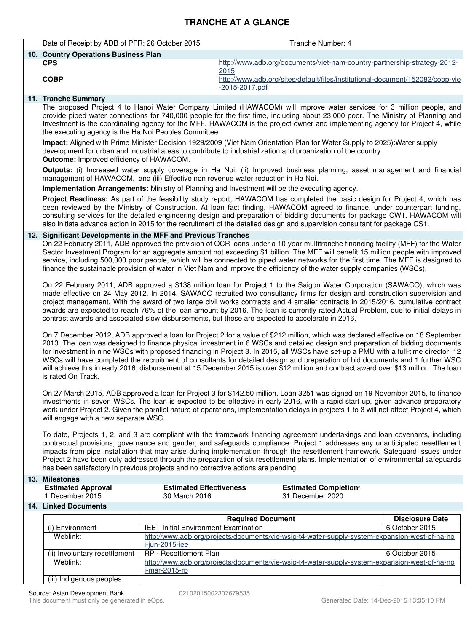# **TRANCHE AT A GLANCE**

| Date of Receipt by ADB of PFR: 26 October 2015 | Tranche Number: 4                                                                                    |
|------------------------------------------------|------------------------------------------------------------------------------------------------------|
| 10. Country Operations Business Plan           |                                                                                                      |
| <b>CPS</b>                                     | http://www.adb.org/documents/viet-nam-country-partnership-strategy-2012-<br>2015                     |
| <b>COBP</b>                                    | http://www.adb.org/sites/default/files/institutional-document/152082/cobp-vie<br>$-2015 - 2017$ .pdf |
| .                                              |                                                                                                      |

#### **11. Tranche Summary**

The proposed Project 4 to Hanoi Water Company Limited (HAWACOM) will improve water services for 3 million people, and provide piped water connections for 740,000 people for the first time, including about 23,000 poor. The Ministry of Planning and Investment is the coordinating agency for the MFF. HAWACOM is the project owner and implementing agency for Project 4, while the executing agency is the Ha Noi Peoples Committee.

**Impact:** Aligned with Prime Minister Decision 1929/2009 (Viet Nam Orientation Plan for Water Supply to 2025):Water supply development for urban and industrial areas to contribute to industrialization and urbanization of the country **Outcome:** Improved efficiency of HAWACOM.

**Outputs:** (i) Increased water supply coverage in Ha Noi, (ii) Improved business planning, asset management and financial management of HAWACOM, and (iii) Effective non revenue water reduction in Ha Noi.

**Implementation Arrangements:** Ministry of Planning and Investment will be the executing agency.

**Project Readiness:** As part of the feasibility study report, HAWACOM has completed the basic design for Project 4, which has been reviewed by the Ministry of Construction. At loan fact finding, HAWACOM agreed to finance, under counterpart funding, consulting services for the detailed engineering design and preparation of bidding documents for package CW1. HAWACOM will also initiate advance action in 2015 for the recruitment of the detailed design and supervision consultant for package CS1.

#### **12. Significant Developments in the MFF and Previous Tranches**

On 22 February 2011, ADB approved the provision of OCR loans under a 10-year multitranche financing facility (MFF) for the Water Sector Investment Program for an aggregate amount not exceeding \$1 billion. The MFF will benefit 15 million people with improved service, including 500,000 poor people, which will be connected to piped water networks for the first time. The MFF is designed to finance the sustainable provision of water in Viet Nam and improve the efficiency of the water supply companies (WSCs).

On 22 February 2011, ADB approved a \$138 million loan for Project 1 to the Saigon Water Corporation (SAWACO), which was made effective on 24 May 2012. In 2014, SAWACO recruited two consultancy firms for design and construction supervision and project management. With the award of two large civil works contracts and 4 smaller contracts in 2015/2016, cumulative contract awards are expected to reach 76% of the loan amount by 2016. The loan is currently rated Actual Problem, due to initial delays in contract awards and associated slow disbursements, but these are expected to accelerate in 2016.

On 7 December 2012, ADB approved a loan for Project 2 for a value of \$212 million, which was declared effective on 18 September 2013. The loan was designed to finance physical investment in 6 WSCs and detailed design and preparation of bidding documents for investment in nine WSCs with proposed financing in Project 3. In 2015, all WSCs have set-up a PMU with a full-time director; 12 WSCs will have completed the recruitment of consultants for detailed design and preparation of bid documents and 1 further WSC will achieve this in early 2016; disbursement at 15 December 2015 is over \$12 million and contract award over \$13 million. The loan is rated On Track.

On 27 March 2015, ADB approved a loan for Project 3 for \$142.50 million. Loan 3251 was signed on 19 November 2015, to finance investments in seven WSCs. The loan is expected to be effective in early 2016, with a rapid start up, given advance preparatory work under Project 2. Given the parallel nature of operations, implementation delays in projects 1 to 3 will not affect Project 4, which will engage with a new separate WSC.

To date, Projects 1, 2, and 3 are compliant with the framework financing agreement undertakings and loan covenants, including contractual provisions, governance and gender, and safeguards compliance. Project 1 addresses any unanticipated resettlement impacts from pipe installation that may arise during implementation through the resettlement framework. Safeguard issues under Project 2 have been duly addressed through the preparation of six resettlement plans. Implementation of environmental safeguards has been satisfactory in previous projects and no corrective actions are pending.

#### **13. Milestones**

| <b>Estimated Approval</b>  | <b>Estimated Effectiveness</b> | <b>Estimated Completion</b> <sup>a</sup> |
|----------------------------|--------------------------------|------------------------------------------|
| <sup>1</sup> December 2015 | 30 March 2016                  | 31 December 2020                         |

#### **14. Linked Documents**

|                               | <b>Required Document</b>                                                                                          | <b>Disclosure Date</b> |
|-------------------------------|-------------------------------------------------------------------------------------------------------------------|------------------------|
| (i) Environment               | <b>IEE - Initial Environment Examination</b>                                                                      | 6 October 2015         |
| Weblink:                      | http://www.adb.org/projects/documents/vie-wsip-t4-water-supply-system-expansion-west-of-ha-no<br>i-jun-2015-iee   |                        |
| (ii) Involuntary resettlement | RP - Resettlement Plan                                                                                            | 6 October 2015         |
| Weblink:                      | http://www.adb.org/projects/documents/vie-wsip-t4-water-supply-system-expansion-west-of-ha-no<br>$i$ -mar-2015-rp |                        |
| (iii) Indigenous peoples      |                                                                                                                   |                        |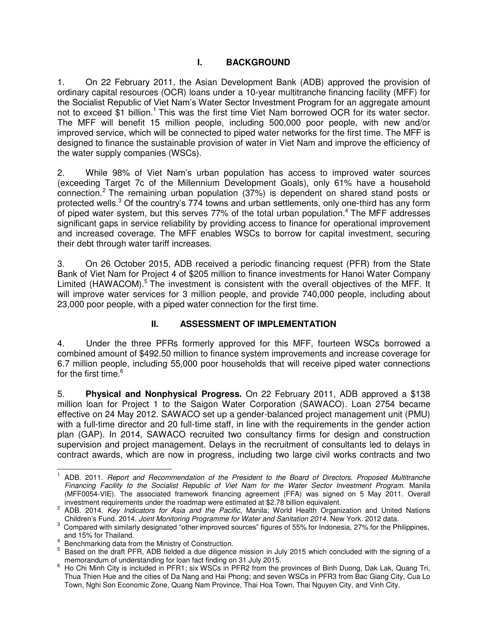## **I. BACKGROUND**

1. On 22 February 2011, the Asian Development Bank (ADB) approved the provision of ordinary capital resources (OCR) loans under a 10-year multitranche financing facility (MFF) for the Socialist Republic of Viet Nam's Water Sector Investment Program for an aggregate amount not to exceed \$1 billion.<sup>1</sup> This was the first time Viet Nam borrowed OCR for its water sector. The MFF will benefit 15 million people, including 500,000 poor people, with new and/or improved service, which will be connected to piped water networks for the first time. The MFF is designed to finance the sustainable provision of water in Viet Nam and improve the efficiency of the water supply companies (WSCs).

2. While 98% of Viet Nam's urban population has access to improved water sources (exceeding Target 7c of the Millennium Development Goals), only 61% have a household connection.<sup>2</sup> The remaining urban population (37%) is dependent on shared stand posts or protected wells.<sup>3</sup> Of the country's 774 towns and urban settlements, only one-third has any form of piped water system, but this serves 77% of the total urban population.<sup>4</sup> The MFF addresses significant gaps in service reliability by providing access to finance for operational improvement and increased coverage. The MFF enables WSCs to borrow for capital investment, securing their debt through water tariff increases.

3. On 26 October 2015, ADB received a periodic financing request (PFR) from the State Bank of Viet Nam for Project 4 of \$205 million to finance investments for Hanoi Water Company Limited (HAWACOM).<sup>5</sup> The investment is consistent with the overall objectives of the MFF. It will improve water services for 3 million people, and provide 740,000 people, including about 23,000 poor people, with a piped water connection for the first time.

## **II. ASSESSMENT OF IMPLEMENTATION**

4. Under the three PFRs formerly approved for this MFF, fourteen WSCs borrowed a combined amount of \$492.50 million to finance system improvements and increase coverage for 6.7 million people, including 55,000 poor households that will receive piped water connections for the first time.<sup>6</sup>

5. **Physical and Nonphysical Progress.** On 22 February 2011, ADB approved a \$138 million loan for Project 1 to the Saigon Water Corporation (SAWACO). Loan 2754 became effective on 24 May 2012. SAWACO set up a gender-balanced project management unit (PMU) with a full-time director and 20 full-time staff, in line with the requirements in the gender action plan (GAP). In 2014, SAWACO recruited two consultancy firms for design and construction supervision and project management. Delays in the recruitment of consultants led to delays in contract awards, which are now in progress, including two large civil works contracts and two

 1 ADB. 2011. *Report and Recommendation of the President to the Board of Directors. Proposed Multitranche Financing Facility to the Socialist Republic of Viet Nam for the Water Sector Investment Program.* Manila (MFF0054-VIE). The associated framework financing agreement (FFA) was signed on 5 May 2011. Overall investment requirements under the roadmap were estimated at \$2.78 billion equivalent.

<sup>2</sup> ADB. 2014. *Key Indicators for Asia and the Pacific*, Manila; World Health Organization and United Nations Children's Fund. 2014. *Joint Monitoring Programme for Water and Sanitation 2014.* New York. 2012 data.

 $3$  Compared with similarly designated "other improved sources" figures of 55% for Indonesia, 27% for the Philippines, and 15% for Thailand. 4

Benchmarking data from the Ministry of Construction.

<sup>&</sup>lt;sup>5</sup> Based on the draft PFR, ADB fielded a due diligence mission in July 2015 which concluded with the signing of a memorandum of understanding for loan fact finding on 31 July 2015.

<sup>&</sup>lt;sup>6</sup> Ho Chi Minh City is included in PFR1; six WSCs in PFR2 from the provinces of Binh Duong, Dak Lak, Quang Tri, Thua Thien Hue and the cities of Da Nang and Hai Phong; and seven WSCs in PFR3 from Bac Giang City, Cua Lo Town, Nghi Son Economic Zone, Quang Nam Province, Thai Hoa Town, Thai Nguyen City, and Vinh City.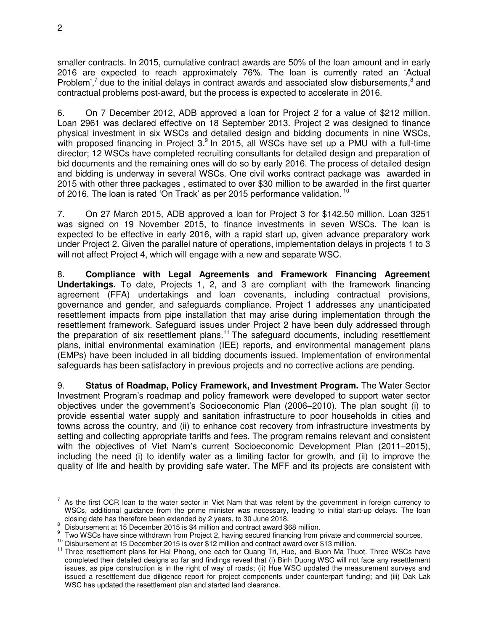smaller contracts. In 2015, cumulative contract awards are 50% of the loan amount and in early 2016 are expected to reach approximately 76%. The loan is currently rated an 'Actual Problem',<sup>7</sup> due to the initial delays in contract awards and associated slow disbursements,<sup>8</sup> and contractual problems post-award, but the process is expected to accelerate in 2016.

6. On 7 December 2012, ADB approved a loan for Project 2 for a value of \$212 million. Loan 2961 was declared effective on 18 September 2013. Project 2 was designed to finance physical investment in six WSCs and detailed design and bidding documents in nine WSCs, with proposed financing in Project  $3.9$  In 2015, all WSCs have set up a PMU with a full-time director; 12 WSCs have completed recruiting consultants for detailed design and preparation of bid documents and the remaining ones will do so by early 2016. The process of detailed design and bidding is underway in several WSCs. One civil works contract package was awarded in 2015 with other three packages , estimated to over \$30 million to be awarded in the first quarter of 2016. The loan is rated 'On Track' as per 2015 performance validation. <sup>10</sup>

7. On 27 March 2015, ADB approved a loan for Project 3 for \$142.50 million. Loan 3251 was signed on 19 November 2015, to finance investments in seven WSCs. The loan is expected to be effective in early 2016, with a rapid start up, given advance preparatory work under Project 2. Given the parallel nature of operations, implementation delays in projects 1 to 3 will not affect Project 4, which will engage with a new and separate WSC.

8. **Compliance with Legal Agreements and Framework Financing Agreement Undertakings.** To date, Projects 1, 2, and 3 are compliant with the framework financing agreement (FFA) undertakings and loan covenants, including contractual provisions, governance and gender, and safeguards compliance. Project 1 addresses any unanticipated resettlement impacts from pipe installation that may arise during implementation through the resettlement framework. Safeguard issues under Project 2 have been duly addressed through the preparation of six resettlement plans.<sup>11</sup> The safeguard documents, including resettlement plans, initial environmental examination (IEE) reports, and environmental management plans (EMPs) have been included in all bidding documents issued. Implementation of environmental safeguards has been satisfactory in previous projects and no corrective actions are pending.

9. **Status of Roadmap, Policy Framework, and Investment Program.** The Water Sector Investment Program's roadmap and policy framework were developed to support water sector objectives under the government's Socioeconomic Plan (2006–2010). The plan sought (i) to provide essential water supply and sanitation infrastructure to poor households in cities and towns across the country, and (ii) to enhance cost recovery from infrastructure investments by setting and collecting appropriate tariffs and fees. The program remains relevant and consistent with the objectives of Viet Nam's current Socioeconomic Development Plan (2011–2015), including the need (i) to identify water as a limiting factor for growth, and (ii) to improve the quality of life and health by providing safe water. The MFF and its projects are consistent with

The state time to the water sector in Viet Nam that was relent by the government in foreign currency to The State of the water sector in Viet Nam that was relent by the government in foreign currency to WSCs, additional guidance from the prime minister was necessary, leading to initial start-up delays. The loan closing date has therefore been extended by 2 years, to 30 June 2018.

<sup>8</sup> Disbursement at 15 December 2015 is \$4 million and contract award \$68 million.

<sup>9</sup> Two WSCs have since withdrawn from Project 2, having secured financing from private and commercial sources.

 $10$  Disbursement at 15 December 2015 is over \$12 million and contract award over \$13 million.

<sup>&</sup>lt;sup>11</sup> Three resettlement plans for Hai Phong, one each for Quang Tri, Hue, and Buon Ma Thuot. Three WSCs have completed their detailed designs so far and findings reveal that (i) Binh Duong WSC will not face any resettlement issues, as pipe construction is in the right of way of roads; (ii) Hue WSC updated the measurement surveys and issued a resettlement due diligence report for project components under counterpart funding; and (iii) Dak Lak WSC has updated the resettlement plan and started land clearance.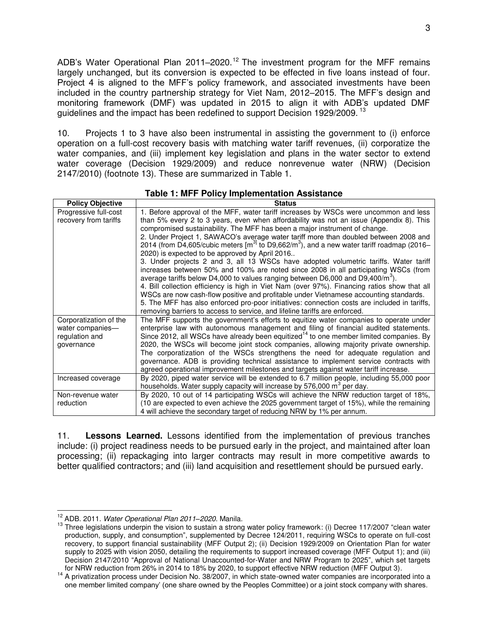ADB's Water Operational Plan 2011–2020.<sup>12</sup> The investment program for the MFF remains largely unchanged, but its conversion is expected to be effected in five loans instead of four. Project 4 is aligned to the MFF's policy framework, and associated investments have been included in the country partnership strategy for Viet Nam, 2012–2015. The MFF's design and monitoring framework (DMF) was updated in 2015 to align it with ADB's updated DMF guidelines and the impact has been redefined to support Decision 1929/2009.<sup>13</sup>

10. Projects 1 to 3 have also been instrumental in assisting the government to (i) enforce operation on a full-cost recovery basis with matching water tariff revenues, (ii) corporatize the water companies, and (iii) implement key legislation and plans in the water sector to extend water coverage (Decision 1929/2009) and reduce nonrevenue water (NRW) (Decision 2147/2010) (footnote 13). These are summarized in Table 1.

| <b>Policy Objective</b> | <b>Status</b>                                                                                                                                                                              |
|-------------------------|--------------------------------------------------------------------------------------------------------------------------------------------------------------------------------------------|
| Progressive full-cost   | 1. Before approval of the MFF, water tariff increases by WSCs were uncommon and less                                                                                                       |
| recovery from tariffs   | than 5% every 2 to 3 years, even when affordability was not an issue (Appendix 8). This                                                                                                    |
|                         | compromised sustainability. The MFF has been a major instrument of change.                                                                                                                 |
|                         | 2. Under Project 1, SAWACO's average water tariff more than doubled between 2008 and                                                                                                       |
|                         | 2014 (from D4,605/cubic meters $\text{[m}^{\text{3}]}$ to D9,662/m <sup>3</sup> ), and a new water tariff roadmap (2016–                                                                   |
|                         | 2020) is expected to be approved by April 2016                                                                                                                                             |
|                         | 3. Under projects 2 and 3, all 13 WSCs have adopted volumetric tariffs. Water tariff                                                                                                       |
|                         | increases between 50% and 100% are noted since 2008 in all participating WSCs (from                                                                                                        |
|                         | average tariffs below D4,000 to values ranging between D6,000 and D9,400/m <sup>3</sup> ).<br>4. Bill collection efficiency is high in Viet Nam (over 97%). Financing ratios show that all |
|                         | WSCs are now cash-flow positive and profitable under Vietnamese accounting standards.                                                                                                      |
|                         | 5. The MFF has also enforced pro-poor initiatives: connection costs are included in tariffs,                                                                                               |
|                         | removing barriers to access to service, and lifeline tariffs are enforced.                                                                                                                 |
| Corporatization of the  | The MFF supports the government's efforts to equitize water companies to operate under                                                                                                     |
| water companies-        | enterprise law with autonomous management and filing of financial audited statements.                                                                                                      |
| regulation and          | Since 2012, all WSCs have already been equitized <sup>14</sup> to one member limited companies. By                                                                                         |
| governance              | 2020, the WSCs will become joint stock companies, allowing majority private ownership.                                                                                                     |
|                         | The corporatization of the WSCs strengthens the need for adequate regulation and                                                                                                           |
|                         | governance. ADB is providing technical assistance to implement service contracts with                                                                                                      |
|                         | agreed operational improvement milestones and targets against water tariff increase.                                                                                                       |
| Increased coverage      | By 2020, piped water service will be extended to 6.7 million people, including 55,000 poor                                                                                                 |
|                         | households. Water supply capacity will increase by 576,000 m <sup>3</sup> per day.                                                                                                         |
| Non-revenue water       | By 2020, 10 out of 14 participating WSCs will achieve the NRW reduction target of 18%,                                                                                                     |
| reduction               | (10 are expected to even achieve the 2025 government target of 15%), while the remaining                                                                                                   |
|                         | 4 will achieve the secondary target of reducing NRW by 1% per annum.                                                                                                                       |

**Table 1: MFF Policy Implementation Assistance** 

11. **Lessons Learned.** Lessons identified from the implementation of previous tranches include: (i) project readiness needs to be pursued early in the project, and maintained after loan processing; (ii) repackaging into larger contracts may result in more competitive awards to better qualified contractors; and (iii) land acquisition and resettlement should be pursued early.

 $\overline{a}$ <sup>12</sup> ADB. 2011. *Water Operational Plan 2011–2020*. Manila.

<sup>13</sup> Three legislations underpin the vision to sustain a strong water policy framework: (i) Decree 117/2007 "clean water production, supply, and consumption", supplemented by Decree 124/2011, requiring WSCs to operate on full-cost recovery, to support financial sustainability (MFF Output 2); (ii) Decision 1929/2009 on Orientation Plan for water supply to 2025 with vision 2050, detailing the requirements to support increased coverage (MFF Output 1); and (iii) Decision 2147/2010 "Approval of National Unaccounted-for-Water and NRW Program to 2025", which set targets for NRW reduction from 26% in 2014 to 18% by 2020, to support effective NRW reduction (MFF Output 3).

<sup>&</sup>lt;sup>14</sup> A privatization process under Decision No. 38/2007, in which state-owned water companies are incorporated into a one member limited company' (one share owned by the Peoples Committee) or a joint stock company with shares.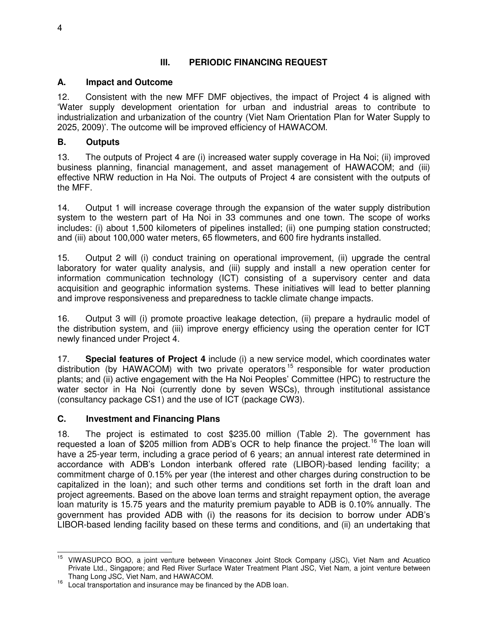# **III. PERIODIC FINANCING REQUEST**

#### **A. Impact and Outcome**

12. Consistent with the new MFF DMF objectives, the impact of Project 4 is aligned with 'Water supply development orientation for urban and industrial areas to contribute to industrialization and urbanization of the country (Viet Nam Orientation Plan for Water Supply to 2025, 2009)'. The outcome will be improved efficiency of HAWACOM.

#### **B. Outputs**

13. The outputs of Project 4 are (i) increased water supply coverage in Ha Noi; (ii) improved business planning, financial management, and asset management of HAWACOM; and (iii) effective NRW reduction in Ha Noi. The outputs of Project 4 are consistent with the outputs of the MFF.

14. Output 1 will increase coverage through the expansion of the water supply distribution system to the western part of Ha Noi in 33 communes and one town. The scope of works includes: (i) about 1,500 kilometers of pipelines installed; (ii) one pumping station constructed; and (iii) about 100,000 water meters, 65 flowmeters, and 600 fire hydrants installed.

15. Output 2 will (i) conduct training on operational improvement, (ii) upgrade the central laboratory for water quality analysis, and (iii) supply and install a new operation center for information communication technology (ICT) consisting of a supervisory center and data acquisition and geographic information systems. These initiatives will lead to better planning and improve responsiveness and preparedness to tackle climate change impacts.

16. Output 3 will (i) promote proactive leakage detection, (ii) prepare a hydraulic model of the distribution system, and (iii) improve energy efficiency using the operation center for ICT newly financed under Project 4.

17. **Special features of Project 4** include (i) a new service model, which coordinates water distribution (by HAWACOM) with two private operators  $15$  responsible for water production plants; and (ii) active engagement with the Ha Noi Peoples' Committee (HPC) to restructure the water sector in Ha Noi (currently done by seven WSCs), through institutional assistance (consultancy package CS1) and the use of ICT (package CW3).

#### **C. Investment and Financing Plans**

18. The project is estimated to cost \$235.00 million (Table 2). The government has requested a loan of \$205 million from ADB's OCR to help finance the project.<sup>16</sup> The loan will have a 25-year term, including a grace period of 6 years; an annual interest rate determined in accordance with ADB's London interbank offered rate (LIBOR)-based lending facility; a commitment charge of 0.15% per year (the interest and other charges during construction to be capitalized in the loan); and such other terms and conditions set forth in the draft loan and project agreements. Based on the above loan terms and straight repayment option, the average loan maturity is 15.75 years and the maturity premium payable to ADB is 0.10% annually. The government has provided ADB with (i) the reasons for its decision to borrow under ADB's LIBOR-based lending facility based on these terms and conditions, and (ii) an undertaking that

j <sup>15</sup> VIWASUPCO BOO, a joint venture between Vinaconex Joint Stock Company (JSC), Viet Nam and Acuatico Private Ltd., Singapore; and Red River Surface Water Treatment Plant JSC, Viet Nam, a joint venture between Thang Long JSC, Viet Nam, and HAWACOM.

<sup>&</sup>lt;sup>16</sup> Local transportation and insurance may be financed by the ADB loan.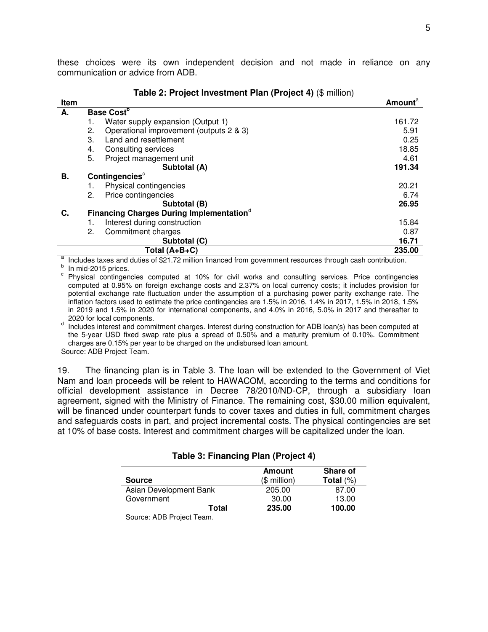these choices were its own independent decision and not made in reliance on any communication or advice from ADB.

**Table 2: Project Investment Plan (Project 4)** (\$ million)

| <b>Table 2: Project investment Plan (Project 4)</b> ( $\phi$ million) |                         |                                                      |                            |
|-----------------------------------------------------------------------|-------------------------|------------------------------------------------------|----------------------------|
| Item                                                                  |                         |                                                      | <b>Amount</b> <sup>a</sup> |
| А.                                                                    | Base Cost <sup>b</sup>  |                                                      |                            |
|                                                                       | 1.                      | Water supply expansion (Output 1)                    | 161.72                     |
|                                                                       | 2.                      | Operational improvement (outputs 2 & 3)              | 5.91                       |
|                                                                       | 3.                      | Land and resettlement                                | 0.25                       |
|                                                                       | 4.                      | Consulting services                                  | 18.85                      |
|                                                                       | 5.                      | Project management unit                              | 4.61                       |
|                                                                       |                         | Subtotal (A)                                         | 191.34                     |
| В.                                                                    |                         | Contingencies <sup>c</sup>                           |                            |
|                                                                       | 1.                      | Physical contingencies                               | 20.21                      |
|                                                                       | 2.                      | Price contingencies                                  | 6.74                       |
|                                                                       |                         | Subtotal (B)                                         | 26.95                      |
| C.                                                                    |                         | Financing Charges During Implementation <sup>®</sup> |                            |
|                                                                       | 1.                      | Interest during construction                         | 15.84                      |
|                                                                       | 2.                      | Commitment charges                                   | 0.87                       |
|                                                                       |                         | Subtotal (C)                                         | 16.71                      |
|                                                                       | Total (A+B+C)<br>235.00 |                                                      |                            |

a Includes taxes and duties of \$21.72 million financed from government resources through cash contribution.

<sup>b</sup> In mid-2015 prices.

<sup>c</sup> Physical contingencies computed at 10% for civil works and consulting services. Price contingencies computed at 0.95% on foreign exchange costs and 2.37% on local currency costs; it includes provision for potential exchange rate fluctuation under the assumption of a purchasing power parity exchange rate. The inflation factors used to estimate the price contingencies are 1.5% in 2016, 1.4% in 2017, 1.5% in 2018, 1.5% in 2019 and 1.5% in 2020 for international components, and 4.0% in 2016, 5.0% in 2017 and thereafter to 2020 for local components.

<sup>d</sup> Includes interest and commitment charges. Interest during construction for ADB loan(s) has been computed at the 5-year USD fixed swap rate plus a spread of 0.50% and a maturity premium of 0.10%. Commitment charges are 0.15% per year to be charged on the undisbursed loan amount.

Source: ADB Project Team.

19. The financing plan is in Table 3. The loan will be extended to the Government of Viet Nam and loan proceeds will be relent to HAWACOM, according to the terms and conditions for official development assistance in Decree 78/2010/ND-CP, through a subsidiary loan agreement, signed with the Ministry of Finance. The remaining cost, \$30.00 million equivalent, will be financed under counterpart funds to cover taxes and duties in full, commitment charges and safeguards costs in part, and project incremental costs. The physical contingencies are set at 10% of base costs. Interest and commitment charges will be capitalized under the loan.

| <b>Source</b>          | Amount<br>$($$ million) | <b>Share of</b><br>Total $(\%)$ |
|------------------------|-------------------------|---------------------------------|
| Asian Development Bank | 205.00                  | 87.00                           |
| Government             | 30.00                   | 13.00                           |
| Total                  | 235.00                  | 100.00                          |

Source: ADB Project Team.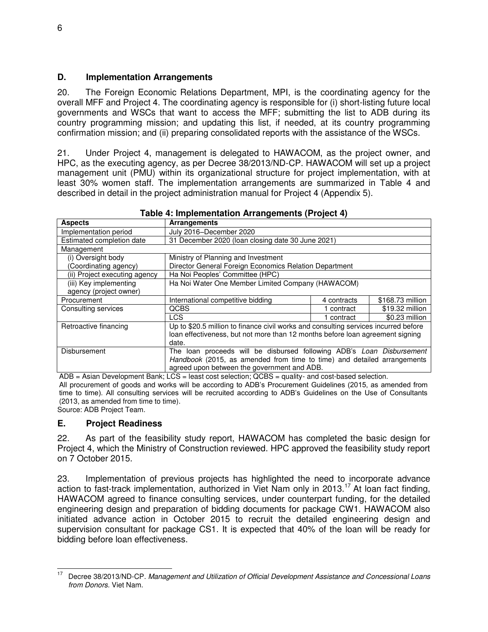#### **D. Implementation Arrangements**

20. The Foreign Economic Relations Department, MPI, is the coordinating agency for the overall MFF and Project 4. The coordinating agency is responsible for (i) short-listing future local governments and WSCs that want to access the MFF; submitting the list to ADB during its country programming mission; and updating this list, if needed, at its country programming confirmation mission; and (ii) preparing consolidated reports with the assistance of the WSCs.

21. Under Project 4, management is delegated to HAWACOM, as the project owner, and HPC, as the executing agency, as per Decree 38/2013/ND-CP. HAWACOM will set up a project management unit (PMU) within its organizational structure for project implementation, with at least 30% women staff. The implementation arrangements are summarized in Table 4 and described in detail in the project administration manual for Project 4 (Appendix 5).

| <b>Aspects</b>                | Arrangements                                                                        |                                                                         |                  |
|-------------------------------|-------------------------------------------------------------------------------------|-------------------------------------------------------------------------|------------------|
| Implementation period         | July 2016-December 2020                                                             |                                                                         |                  |
| Estimated completion date     | 31 December 2020 (loan closing date 30 June 2021)                                   |                                                                         |                  |
| Management                    |                                                                                     |                                                                         |                  |
| (i) Oversight body            | Ministry of Planning and Investment                                                 |                                                                         |                  |
| (Coordinating agency)         | Director General Foreign Economics Relation Department                              |                                                                         |                  |
| (ii) Project executing agency | Ha Noi Peoples' Committee (HPC)                                                     |                                                                         |                  |
| (iii) Key implementing        | Ha Noi Water One Member Limited Company (HAWACOM)                                   |                                                                         |                  |
| agency (project owner)        |                                                                                     |                                                                         |                  |
| Procurement                   | International competitive bidding                                                   | 4 contracts                                                             | \$168.73 million |
| Consulting services           | QCBS                                                                                | 1 contract                                                              | \$19.32 million  |
|                               | <b>LCS</b>                                                                          | contract                                                                | \$0.23 million   |
| Retroactive financing         | Up to \$20.5 million to finance civil works and consulting services incurred before |                                                                         |                  |
|                               | loan effectiveness, but not more than 12 months before loan agreement signing       |                                                                         |                  |
|                               | date.                                                                               |                                                                         |                  |
| <b>Disbursement</b>           | The loan proceeds will be disbursed following ADB's Loan Disbursement               |                                                                         |                  |
|                               |                                                                                     | Handbook (2015, as amended from time to time) and detailed arrangements |                  |
|                               | agreed upon between the government and ADB.                                         |                                                                         |                  |

#### **Table 4: Implementation Arrangements (Project 4)**

ADB = Asian Development Bank; LCS = least cost selection; QCBS = quality- and cost-based selection. All procurement of goods and works will be according to ADB's Procurement Guidelines (2015, as amended from time to time). All consulting services will be recruited according to ADB's Guidelines on the Use of Consultants (2013, as amended from time to time). Source: ADB Project Team.

**E. Project Readiness** 

22. As part of the feasibility study report, HAWACOM has completed the basic design for Project 4, which the Ministry of Construction reviewed. HPC approved the feasibility study report on 7 October 2015.

23. Implementation of previous projects has highlighted the need to incorporate advance action to fast-track implementation, authorized in Viet Nam only in 2013.<sup>17</sup> At loan fact finding, HAWACOM agreed to finance consulting services, under counterpart funding, for the detailed engineering design and preparation of bidding documents for package CW1. HAWACOM also initiated advance action in October 2015 to recruit the detailed engineering design and supervision consultant for package CS1. It is expected that 40% of the loan will be ready for bidding before loan effectiveness.

 $17$ <sup>17</sup> Decree 38/2013/ND-CP. *Management and Utilization of Official Development Assistance and Concessional Loans from Donors.* Viet Nam.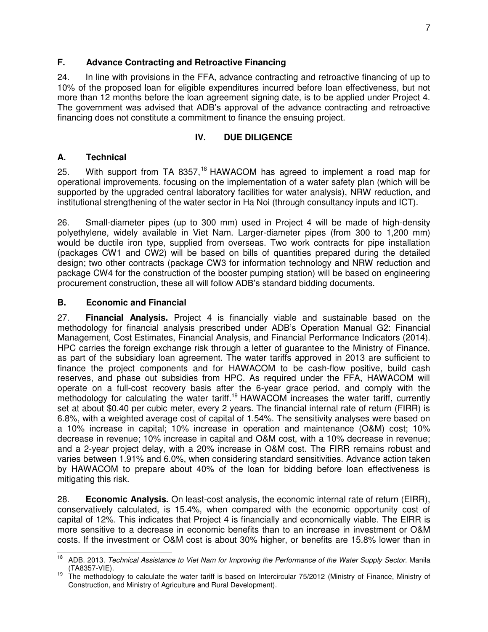### **F. Advance Contracting and Retroactive Financing**

24. In line with provisions in the FFA, advance contracting and retroactive financing of up to 10% of the proposed loan for eligible expenditures incurred before loan effectiveness, but not more than 12 months before the loan agreement signing date, is to be applied under Project 4. The government was advised that ADB's approval of the advance contracting and retroactive financing does not constitute a commitment to finance the ensuing project.

#### **IV. DUE DILIGENCE**

#### **A. Technical**

25. With support from TA 8357,<sup>18</sup> HAWACOM has agreed to implement a road map for operational improvements, focusing on the implementation of a water safety plan (which will be supported by the upgraded central laboratory facilities for water analysis), NRW reduction, and institutional strengthening of the water sector in Ha Noi (through consultancy inputs and ICT).

26. Small-diameter pipes (up to 300 mm) used in Project 4 will be made of high-density polyethylene, widely available in Viet Nam. Larger-diameter pipes (from 300 to 1,200 mm) would be ductile iron type, supplied from overseas. Two work contracts for pipe installation (packages CW1 and CW2) will be based on bills of quantities prepared during the detailed design; two other contracts (package CW3 for information technology and NRW reduction and package CW4 for the construction of the booster pumping station) will be based on engineering procurement construction, these all will follow ADB's standard bidding documents.

#### **B. Economic and Financial**

27. **Financial Analysis.** Project 4 is financially viable and sustainable based on the methodology for financial analysis prescribed under ADB's Operation Manual G2: Financial Management, Cost Estimates, Financial Analysis, and Financial Performance Indicators (2014). HPC carries the foreign exchange risk through a letter of guarantee to the Ministry of Finance, as part of the subsidiary loan agreement. The water tariffs approved in 2013 are sufficient to finance the project components and for HAWACOM to be cash-flow positive, build cash reserves, and phase out subsidies from HPC. As required under the FFA, HAWACOM will operate on a full-cost recovery basis after the 6-year grace period, and comply with the methodology for calculating the water tariff.<sup>19</sup> HAWACOM increases the water tariff, currently set at about \$0.40 per cubic meter, every 2 years. The financial internal rate of return (FIRR) is 6.8%, with a weighted average cost of capital of 1.54%. The sensitivity analyses were based on a 10% increase in capital; 10% increase in operation and maintenance (O&M) cost; 10% decrease in revenue; 10% increase in capital and O&M cost, with a 10% decrease in revenue; and a 2-year project delay, with a 20% increase in O&M cost. The FIRR remains robust and varies between 1.91% and 6.0%, when considering standard sensitivities. Advance action taken by HAWACOM to prepare about 40% of the loan for bidding before loan effectiveness is mitigating this risk.

28. **Economic Analysis.** On least-cost analysis, the economic internal rate of return (EIRR), conservatively calculated, is 15.4%, when compared with the economic opportunity cost of capital of 12%. This indicates that Project 4 is financially and economically viable. The EIRR is more sensitive to a decrease in economic benefits than to an increase in investment or O&M costs. If the investment or O&M cost is about 30% higher, or benefits are 15.8% lower than in

 $18\,$ <sup>18</sup> ADB. 2013. *Technical Assistance to Viet Nam for Improving the Performance of the Water Supply Sector.* Manila (TA8357-VIE).

 $19$  The methodology to calculate the water tariff is based on Intercircular 75/2012 (Ministry of Finance, Ministry of Construction, and Ministry of Agriculture and Rural Development).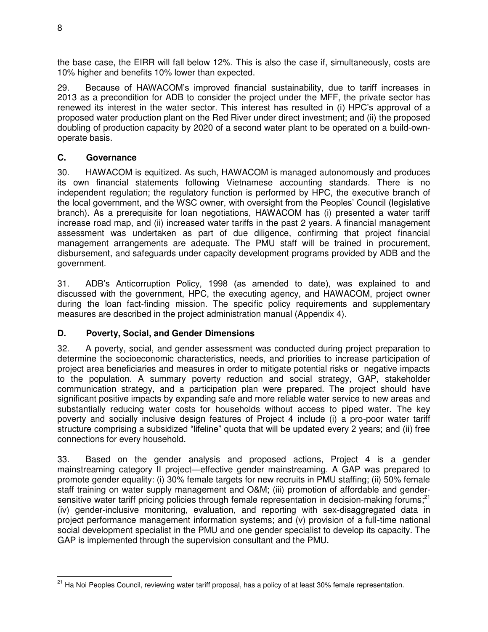the base case, the EIRR will fall below 12%. This is also the case if, simultaneously, costs are 10% higher and benefits 10% lower than expected.

29. Because of HAWACOM's improved financial sustainability, due to tariff increases in 2013 as a precondition for ADB to consider the project under the MFF, the private sector has renewed its interest in the water sector. This interest has resulted in (i) HPC's approval of a proposed water production plant on the Red River under direct investment; and (ii) the proposed doubling of production capacity by 2020 of a second water plant to be operated on a build-ownoperate basis.

# **C. Governance**

30. HAWACOM is equitized. As such, HAWACOM is managed autonomously and produces its own financial statements following Vietnamese accounting standards. There is no independent regulation; the regulatory function is performed by HPC, the executive branch of the local government, and the WSC owner, with oversight from the Peoples' Council (legislative branch). As a prerequisite for loan negotiations, HAWACOM has (i) presented a water tariff increase road map, and (ii) increased water tariffs in the past 2 years. A financial management assessment was undertaken as part of due diligence, confirming that project financial management arrangements are adequate. The PMU staff will be trained in procurement, disbursement, and safeguards under capacity development programs provided by ADB and the government.

31. ADB's Anticorruption Policy, 1998 (as amended to date), was explained to and discussed with the government, HPC, the executing agency, and HAWACOM, project owner during the loan fact-finding mission. The specific policy requirements and supplementary measures are described in the project administration manual (Appendix 4).

# **D. Poverty, Social, and Gender Dimensions**

32. A poverty, social, and gender assessment was conducted during project preparation to determine the socioeconomic characteristics, needs, and priorities to increase participation of project area beneficiaries and measures in order to mitigate potential risks or negative impacts to the population. A summary poverty reduction and social strategy, GAP, stakeholder communication strategy, and a participation plan were prepared. The project should have significant positive impacts by expanding safe and more reliable water service to new areas and substantially reducing water costs for households without access to piped water. The key poverty and socially inclusive design features of Project 4 include (i) a pro-poor water tariff structure comprising a subsidized "lifeline" quota that will be updated every 2 years; and (ii) free connections for every household.

33. Based on the gender analysis and proposed actions, Project 4 is a gender mainstreaming category II project—effective gender mainstreaming. A GAP was prepared to promote gender equality: (i) 30% female targets for new recruits in PMU staffing; (ii) 50% female staff training on water supply management and O&M; (iii) promotion of affordable and gendersensitive water tariff pricing policies through female representation in decision-making forums;<sup>21</sup> (iv) gender-inclusive monitoring, evaluation, and reporting with sex-disaggregated data in project performance management information systems; and (v) provision of a full-time national social development specialist in the PMU and one gender specialist to develop its capacity. The GAP is implemented through the supervision consultant and the PMU.

 $\overline{a}$ <sup>21</sup> Ha Noi Peoples Council, reviewing water tariff proposal, has a policy of at least 30% female representation.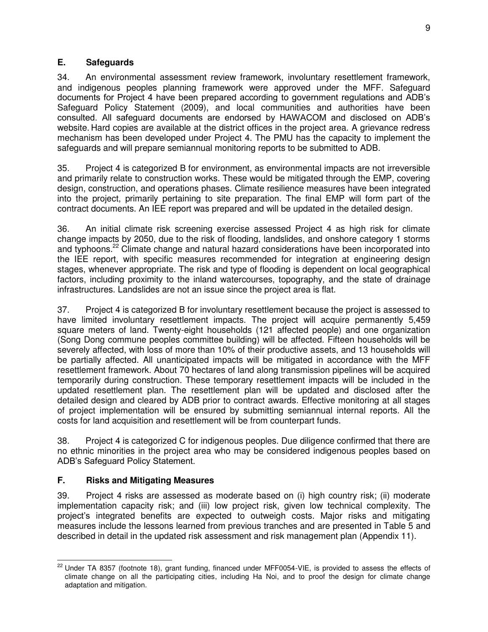### **E. Safeguards**

34. An environmental assessment review framework, involuntary resettlement framework, and indigenous peoples planning framework were approved under the MFF. Safeguard documents for Project 4 have been prepared according to government regulations and ADB's Safeguard Policy Statement (2009), and local communities and authorities have been consulted. All safeguard documents are endorsed by HAWACOM and disclosed on ADB's website. Hard copies are available at the district offices in the project area. A grievance redress mechanism has been developed under Project 4. The PMU has the capacity to implement the safeguards and will prepare semiannual monitoring reports to be submitted to ADB.

35. Project 4 is categorized B for environment, as environmental impacts are not irreversible and primarily relate to construction works. These would be mitigated through the EMP, covering design, construction, and operations phases. Climate resilience measures have been integrated into the project, primarily pertaining to site preparation. The final EMP will form part of the contract documents. An IEE report was prepared and will be updated in the detailed design.

36. An initial climate risk screening exercise assessed Project 4 as high risk for climate change impacts by 2050, due to the risk of flooding, landslides, and onshore category 1 storms and typhoons.<sup>22</sup> Climate change and natural hazard considerations have been incorporated into the IEE report, with specific measures recommended for integration at engineering design stages, whenever appropriate. The risk and type of flooding is dependent on local geographical factors, including proximity to the inland watercourses, topography, and the state of drainage infrastructures. Landslides are not an issue since the project area is flat.

37. Project 4 is categorized B for involuntary resettlement because the project is assessed to have limited involuntary resettlement impacts. The project will acquire permanently 5,459 square meters of land. Twenty-eight households (121 affected people) and one organization (Song Dong commune peoples committee building) will be affected. Fifteen households will be severely affected, with loss of more than 10% of their productive assets, and 13 households will be partially affected. All unanticipated impacts will be mitigated in accordance with the MFF resettlement framework. About 70 hectares of land along transmission pipelines will be acquired temporarily during construction. These temporary resettlement impacts will be included in the updated resettlement plan. The resettlement plan will be updated and disclosed after the detailed design and cleared by ADB prior to contract awards. Effective monitoring at all stages of project implementation will be ensured by submitting semiannual internal reports. All the costs for land acquisition and resettlement will be from counterpart funds.

38. Project 4 is categorized C for indigenous peoples. Due diligence confirmed that there are no ethnic minorities in the project area who may be considered indigenous peoples based on ADB's Safeguard Policy Statement.

## **F. Risks and Mitigating Measures**

39. Project 4 risks are assessed as moderate based on (i) high country risk; (ii) moderate implementation capacity risk; and (iii) low project risk, given low technical complexity. The project's integrated benefits are expected to outweigh costs. Major risks and mitigating measures include the lessons learned from previous tranches and are presented in Table 5 and described in detail in the updated risk assessment and risk management plan (Appendix 11).

 $\overline{a}$ <sup>22</sup> Under TA 8357 (footnote 18), grant funding, financed under MFF0054-VIE, is provided to assess the effects of climate change on all the participating cities, including Ha Noi, and to proof the design for climate change adaptation and mitigation.